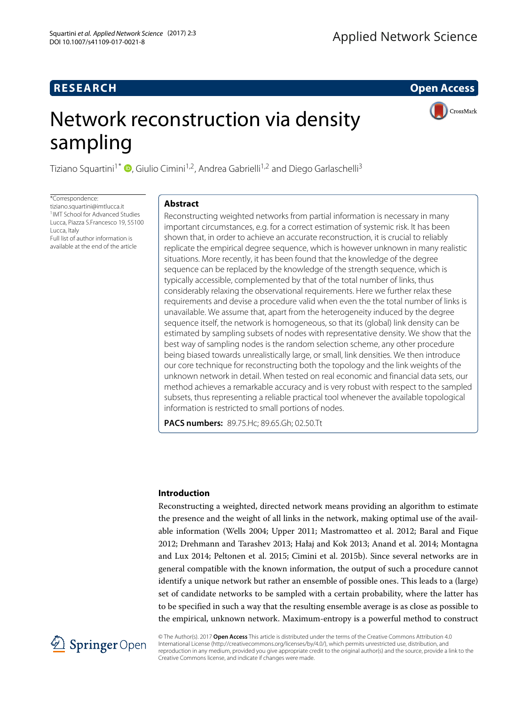## **RESEARCH Open Access**

CrossMark

# Network reconstruction via density sampling

Tiziano Squartini<sup>1\*</sup>  $\Phi$ [,](http://orcid.org/0000-0001-9011-966X) Giulio Cimini<sup>1,2</sup>, Andrea Gabrielli<sup>1,2</sup> and Diego Garlaschelli<sup>3</sup>

\*Correspondence: [tiziano.squartini@imtlucca.it](mailto: tiziano.squartini@imtlucca.it) 1IMT School for Advanced Studies Lucca, Piazza S.Francesco 19, 55100 Lucca, Italy Full list of author information is available at the end of the article

## **Abstract**

Reconstructing weighted networks from partial information is necessary in many important circumstances, e.g. for a correct estimation of systemic risk. It has been shown that, in order to achieve an accurate reconstruction, it is crucial to reliably replicate the empirical degree sequence, which is however unknown in many realistic situations. More recently, it has been found that the knowledge of the degree sequence can be replaced by the knowledge of the strength sequence, which is typically accessible, complemented by that of the total number of links, thus considerably relaxing the observational requirements. Here we further relax these requirements and devise a procedure valid when even the the total number of links is unavailable. We assume that, apart from the heterogeneity induced by the degree sequence itself, the network is homogeneous, so that its (global) link density can be estimated by sampling subsets of nodes with representative density. We show that the best way of sampling nodes is the random selection scheme, any other procedure being biased towards unrealistically large, or small, link densities. We then introduce our core technique for reconstructing both the topology and the link weights of the unknown network in detail. When tested on real economic and financial data sets, our method achieves a remarkable accuracy and is very robust with respect to the sampled subsets, thus representing a reliable practical tool whenever the available topological information is restricted to small portions of nodes.

**PACS numbers:** 89.75.Hc; 89.65.Gh; 02.50.Tt

#### **Introduction**

Reconstructing a weighted, directed network means providing an algorithm to estimate the presence and the weight of all links in the network, making optimal use of the available information (Wells [2004;](#page-12-0) Upper [2011;](#page-12-1) Mastromatteo et al. [2012;](#page-12-2) Baral and Fique [2012;](#page-12-3) Drehmann and Tarashev [2013;](#page-12-4) Hałaj and Kok [2013;](#page-12-5) Anand et al. [2014;](#page-12-6) Montagna and Lux [2014;](#page-12-7) Peltonen et al. [2015;](#page-12-8) Cimini et al. [2015b\)](#page-12-9). Since several networks are in general compatible with the known information, the output of such a procedure cannot identify a unique network but rather an ensemble of possible ones. This leads to a (large) set of candidate networks to be sampled with a certain probability, where the latter has to be specified in such a way that the resulting ensemble average is as close as possible to the empirical, unknown network. Maximum-entropy is a powerful method to construct



© The Author(s). 2017 **Open Access** This article is distributed under the terms of the Creative Commons Attribution 4.0 International License [\(http://creativecommons.org/licenses/by/4.0/\)](http://creativecommons.org/licenses/by/4.0/), which permits unrestricted use, distribution, and reproduction in any medium, provided you give appropriate credit to the original author(s) and the source, provide a link to the Creative Commons license, and indicate if changes were made.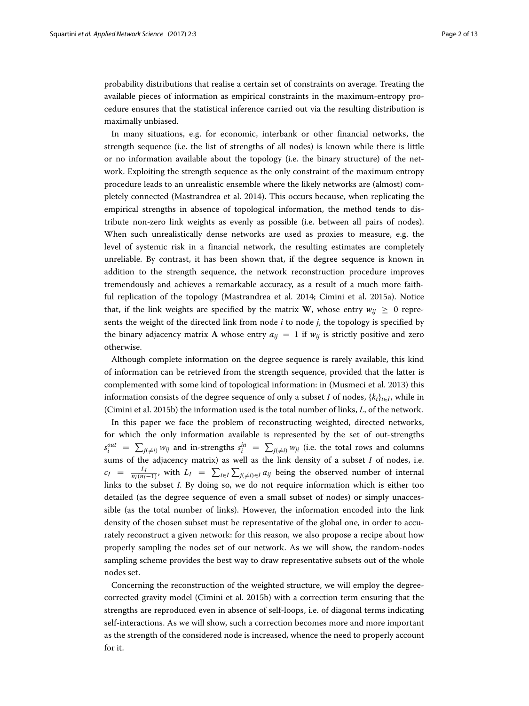probability distributions that realise a certain set of constraints on average. Treating the available pieces of information as empirical constraints in the maximum-entropy procedure ensures that the statistical inference carried out via the resulting distribution is maximally unbiased.

In many situations, e.g. for economic, interbank or other financial networks, the strength sequence (i.e. the list of strengths of all nodes) is known while there is little or no information available about the topology (i.e. the binary structure) of the network. Exploiting the strength sequence as the only constraint of the maximum entropy procedure leads to an unrealistic ensemble where the likely networks are (almost) completely connected (Mastrandrea et al. [2014\)](#page-12-10). This occurs because, when replicating the empirical strengths in absence of topological information, the method tends to distribute non-zero link weights as evenly as possible (i.e. between all pairs of nodes). When such unrealistically dense networks are used as proxies to measure, e.g. the level of systemic risk in a financial network, the resulting estimates are completely unreliable. By contrast, it has been shown that, if the degree sequence is known in addition to the strength sequence, the network reconstruction procedure improves tremendously and achieves a remarkable accuracy, as a result of a much more faithful replication of the topology (Mastrandrea et al. [2014;](#page-12-10) Cimini et al. [2015a\)](#page-12-11). Notice that, if the link weights are specified by the matrix **W**, whose entry  $w_{ii} > 0$  represents the weight of the directed link from node *i* to node *j*, the topology is specified by the binary adjacency matrix **A** whose entry  $a_{ij} = 1$  if  $w_{ij}$  is strictly positive and zero otherwise.

Although complete information on the degree sequence is rarely available, this kind of information can be retrieved from the strength sequence, provided that the latter is complemented with some kind of topological information: in (Musmeci et al. [2013\)](#page-12-12) this information consists of the degree sequence of only a subset *I* of nodes,  $\{k_i\}_{i \in I}$ , while in (Cimini et al. [2015b\)](#page-12-9) the information used is the total number of links, *L*, of the network.

In this paper we face the problem of reconstructing weighted, directed networks, for which the only information available is represented by the set of out-strengths  $s_i^{out} = \sum_{j(\neq i)} w_{ij}$  and in-strengths  $s_i^{in} = \sum_{j(\neq i)} w_{ji}$  (i.e. the total rows and columns sums of the adjacency matrix) as well as the link density of a subset *I* of nodes, i.e.  $c_I = \frac{L_I}{n_I(n_I-1)}$ , with  $L_I = \sum_{i \in I} \sum_{j(\neq i) \in I} a_{ij}$  being the observed number of internal links to the subset *I*. By doing so, we do not require information which is either too detailed (as the degree sequence of even a small subset of nodes) or simply unaccessible (as the total number of links). However, the information encoded into the link density of the chosen subset must be representative of the global one, in order to accurately reconstruct a given network: for this reason, we also propose a recipe about how properly sampling the nodes set of our network. As we will show, the random-nodes sampling scheme provides the best way to draw representative subsets out of the whole nodes set.

Concerning the reconstruction of the weighted structure, we will employ the degreecorrected gravity model (Cimini et al. [2015b\)](#page-12-9) with a correction term ensuring that the strengths are reproduced even in absence of self-loops, i.e. of diagonal terms indicating self-interactions. As we will show, such a correction becomes more and more important as the strength of the considered node is increased, whence the need to properly account for it.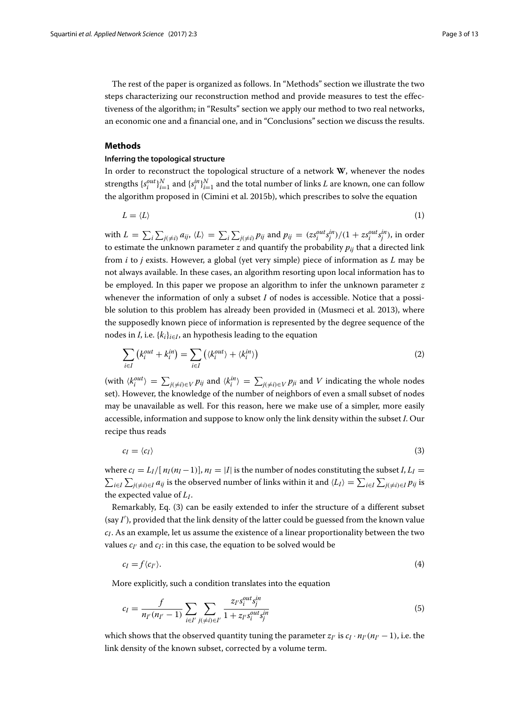The rest of the paper is organized as follows. In ["Methods"](#page-2-0) section we illustrate the two steps characterizing our reconstruction method and provide measures to test the effectiveness of the algorithm; in ["Results"](#page-5-0) section we apply our method to two real networks, an economic one and a financial one, and in ["Conclusions"](#page-9-0) section we discuss the results.

## <span id="page-2-0"></span>**Methods**

## **Inferring the topological structure**

In order to reconstruct the topological structure of a network **W**, whenever the nodes strengths  $\{s_i^{out}\}_{i=1}^N$  and  $\{s_i^{in}\}_{i=1}^N$  and the total number of links *L* are known, one can follow the algorithm proposed in (Cimini et al. [2015b\)](#page-12-9), which prescribes to solve the equation

$$
L = \langle L \rangle \tag{1}
$$

with  $L = \sum_i \sum_{j(\neq i)} a_{ij}$ ,  $\langle L \rangle = \sum_i \sum_{j(\neq i)} p_{ij}$  and  $p_{ij} = (zs_i^{out}s_j^{in})/(1 + zs_i^{out}s_j^{in})$ , in order to estimate the unknown parameter  $z$  and quantify the probability  $p_{ij}$  that a directed link from *i* to *j* exists. However, a global (yet very simple) piece of information as *L* may be not always available. In these cases, an algorithm resorting upon local information has to be employed. In this paper we propose an algorithm to infer the unknown parameter *z* whenever the information of only a subset *I* of nodes is accessible. Notice that a possible solution to this problem has already been provided in (Musmeci et al. [2013\)](#page-12-12), where the supposedly known piece of information is represented by the degree sequence of the nodes in *I*, i.e.  $\{k_i\}_{i \in I}$ , an hypothesis leading to the equation

$$
\sum_{i \in I} \left( k_i^{out} + k_i^{in} \right) = \sum_{i \in I} \left( \langle k_i^{out} \rangle + \langle k_i^{in} \rangle \right) \tag{2}
$$

 $\langle k_i^{out} \rangle = \sum_{j(\neq i) \in V} p_{ij}$  and  $\langle k_i^{in} \rangle = \sum_{j(\neq i) \in V} p_{ji}$  and *V* indicating the whole nodes set). However, the knowledge of the number of neighbors of even a small subset of nodes may be unavailable as well. For this reason, here we make use of a simpler, more easily accessible, information and suppose to know only the link density within the subset *I*. Our recipe thus reads

<span id="page-2-1"></span>
$$
c_I = \langle c_I \rangle \tag{3}
$$

where  $c_I = L_I/[n_I(n_I-1)], n_I = |I|$  is the number of nodes constituting the subset  $I, L_I =$  $\sum_{i\in I}\sum_{j(\neq i)\in I}a_{ij}$  is the observed number of links within it and  $\langle L_I\rangle=\sum_{i\in I}\sum_{j(\neq i)\in I}p_{ij}$  is the expected value of *LI*.

Remarkably, Eq. [\(3\)](#page-2-1) can be easily extended to infer the structure of a different subset (say *I* ), provided that the link density of the latter could be guessed from the known value  $c_I$ . As an example, let us assume the existence of a linear proportionality between the two values  $c_{I'}$  and  $c_I$ : in this case, the equation to be solved would be

<span id="page-2-2"></span>
$$
c_I = f \langle c_{I'} \rangle. \tag{4}
$$

More explicitly, such a condition translates into the equation

$$
c_{I} = \frac{f}{n_{I'}(n_{I'}-1)} \sum_{i \in I'} \sum_{j(\neq i) \in I'} \frac{z_{I'} s_{i}^{out} s_{j}^{in}}{1 + z_{I'} s_{i}^{out} s_{j}^{in}}
$$
(5)

which shows that the observed quantity tuning the parameter  $z_{I'}$  is  $c_I \cdot n_{I'}(n_{I'}-1)$ , i.e. the link density of the known subset, corrected by a volume term.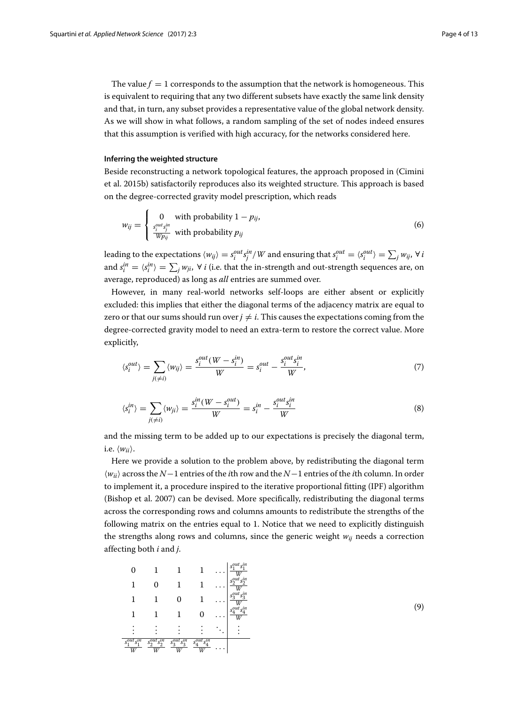The value  $f = 1$  corresponds to the assumption that the network is homogeneous. This is equivalent to requiring that any two different subsets have exactly the same link density and that, in turn, any subset provides a representative value of the global network density. As we will show in what follows, a random sampling of the set of nodes indeed ensures that this assumption is verified with high accuracy, for the networks considered here.

#### **Inferring the weighted structure**

Beside reconstructing a network topological features, the approach proposed in (Cimini et al. [2015b\)](#page-12-9) satisfactorily reproduces also its weighted structure. This approach is based on the degree-corrected gravity model prescription, which reads

$$
w_{ij} = \begin{cases} 0 & \text{with probability } 1 - p_{ij}, \\ \frac{s_i^{out}s_j^{in}}{Wp_{ij}} & \text{with probability } p_{ij} \end{cases}
$$
 (6)

leading to the expectations  $\langle w_{ij} \rangle = s_i^{out} s_j^{in} / W$  and ensuring that  $s_i^{out} = \langle s_i^{out} \rangle = \sum_j w_{ij}$ ,  $\forall i$ and  $s_i^{in} = \langle s_i^{in} \rangle = \sum_j w_{ji}$ ,  $\forall i$  (i.e. that the in-strength and out-strength sequences are, on average, reproduced) as long as *all* entries are summed over.

However, in many real-world networks self-loops are either absent or explicitly excluded: this implies that either the diagonal terms of the adjacency matrix are equal to zero or that our sums should run over  $j \neq i$ . This causes the expectations coming from the degree-corrected gravity model to need an extra-term to restore the correct value. More explicitly,

$$
\langle s_i^{out} \rangle = \sum_{j(\neq i)} \langle w_{ij} \rangle = \frac{s_i^{out}(W - s_i^{in})}{W} = s_i^{out} - \frac{s_i^{out} s_i^{in}}{W},\tag{7}
$$

$$
\langle s_i^{in} \rangle = \sum_{j(\neq i)} \langle w_{ji} \rangle = \frac{s_i^{in}(W - s_i^{out})}{W} = s_i^{in} - \frac{s_i^{out} s_i^{in}}{W}
$$
(8)

and the missing term to be added up to our expectations is precisely the diagonal term, i.e.  $\langle w_{ii} \rangle$ .

Here we provide a solution to the problem above, by redistributing the diagonal term *wii* across the *N*−1 entries of the *i*th row and the *N*−1 entries of the *i*th column. In order to implement it, a procedure inspired to the iterative proportional fitting (IPF) algorithm (Bishop et al. [2007\)](#page-12-13) can be devised. More specifically, redistributing the diagonal terms across the corresponding rows and columns amounts to redistribute the strengths of the following matrix on the entries equal to 1. Notice that we need to explicitly distinguish the strengths along rows and columns, since the generic weight *wij* needs a correction affecting both *i* and *j*.

$$
\begin{array}{ccccccccc} 0 & 1 & 1 & 1 & \ldots & \frac{s_1^{out}s_1^{in}}{W} \\ 1 & 0 & 1 & 1 & \ldots & \frac{s_2^{out}s_2^{in}}{W} \\ 1 & 1 & 0 & 1 & \ldots & \frac{s_3^{out}s_3^{in}}{W} \\ 1 & 1 & 1 & 0 & \ldots & \frac{s_3^{out}s_1^{in}}{W} \\ \vdots & \vdots & \vdots & \vdots & \vdots & \vdots & \vdots \\ \frac{s_1^{out}s_1^{in}}{W} & \frac{s_2^{out}s_2^{in}}{W} & \frac{s_3^{out}s_3^{in}}{W} & \frac{s_4^{out}s_4^{in}}{W} & \ldots & \end{array}
$$

(9)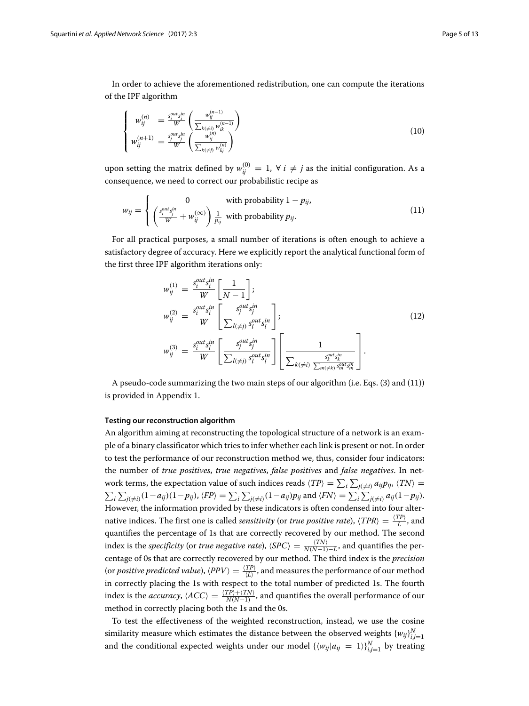In order to achieve the aforementioned redistribution, one can compute the iterations of the IPF algorithm

$$
\begin{cases}\n w_{ij}^{(n)} = \frac{s_i^{out} s_i^{in}}{W} \left( \frac{w_{ij}^{(n-1)}}{\sum_{k(\neq i)} w_{ik}^{(n-1)}} \right) \\
w_{ij}^{(n+1)} = \frac{s_j^{out} s_j^{in}}{W} \left( \frac{w_{ij}^{(n)}}{\sum_{k(\neq j)} w_{kj}^{(n)}} \right)\n\end{cases} \tag{10}
$$

upon setting the matrix defined by  $w_{ij}^{(0)} = 1$ ,  $\forall i \neq j$  as the initial configuration. As a consequence, we need to correct our probabilistic recipe as

$$
w_{ij} = \begin{cases} 0 & \text{with probability } 1 - p_{ij}, \\ \left(\frac{s_i^{out} s_j^{in}}{W} + w_{ij}^{(\infty)}\right) \frac{1}{p_{ij}} & \text{with probability } p_{ij}. \end{cases}
$$
(11)

For all practical purposes, a small number of iterations is often enough to achieve a satisfactory degree of accuracy. Here we explicitly report the analytical functional form of the first three IPF algorithm iterations only:

<span id="page-4-0"></span>
$$
w_{ij}^{(1)} = \frac{s_i^{out} s_i^{in}}{W} \left[ \frac{1}{N-1} \right];
$$
  
\n
$$
w_{ij}^{(2)} = \frac{s_i^{out} s_i^{in}}{W} \left[ \frac{s_j^{out} s_i^{in}}{\sum_{l(\neq j)} s_l^{out} s_l^{in}} \right];
$$
  
\n
$$
w_{ij}^{(3)} = \frac{s_i^{out} s_i^{in}}{W} \left[ \frac{s_j^{out} s_i^{in}}{\sum_{l(\neq j)} s_l^{out} s_l^{in}} \right] \left[ \frac{1}{\sum_{k(\neq i)} \frac{s_k^{out} s_k^{in}}{\sum_{m(\neq k)} s_m^{out} s_m^{in}}} \right].
$$
\n(12)

A pseudo-code summarizing the two main steps of our algorithm (i.e. Eqs. [\(3\)](#page-2-1) and [\(11\)](#page-4-0)) is provided in [Appendix 1.](#page-10-0)

#### **Testing our reconstruction algorithm**

An algorithm aiming at reconstructing the topological structure of a network is an example of a binary classificator which tries to infer whether each link is present or not. In order to test the performance of our reconstruction method we, thus, consider four indicators: the number of *true positives*, *true negatives*, *false positives* and *false negatives*. In network terms, the expectation value of such indices reads  $\langle TP \rangle = \sum_i \sum_{j(\neq i)} a_{ij} p_{ij}$ ,  $\langle TN \rangle =$  $\sum_i \sum_{j(\neq i)} (1 - a_{ij})(1 - p_{ij}), \langle FP \rangle = \sum_i \sum_{j(\neq i)} (1 - a_{ij}) p_{ij}$  and  $\langle FN \rangle = \sum_i \sum_{j(\neq i)} a_{ij}(1 - p_{ij}).$ However, the information provided by these indicators is often condensed into four alternative indices. The first one is called *sensitivity* (or *true positive rate*),  $\langle TPR \rangle = \frac{\langle TP \rangle}{L}$ , and quantifies the percentage of 1s that are correctly recovered by our method. The second index is the *specificity* (or *true negative rate*),  $\langle SPC \rangle = \frac{\langle TN \rangle}{N(N-1)-L}$ , and quantifies the percentage of 0s that are correctly recovered by our method. The third index is the *precision* (or *positive predicted value*),  $\langle PPV \rangle = \frac{\langle TP \rangle}{\langle L \rangle}$ , and measures the performance of our method in correctly placing the 1s with respect to the total number of predicted 1s. The fourth index is the *accuracy*,  $\langle ACC \rangle = \frac{\langle TP \rangle + \langle TN \rangle}{N(N-1)}$ , and quantifies the overall performance of our method in correctly placing both the 1s and the 0s.

To test the effectiveness of the weighted reconstruction, instead, we use the cosine similarity measure which estimates the distance between the observed weights  $\{w_{ij}\}_{i,j=1}^N$ and the conditional expected weights under our model  $\{\langle w_{ij} | a_{ij} = 1 \rangle\}_{i,j=1}^N$  by treating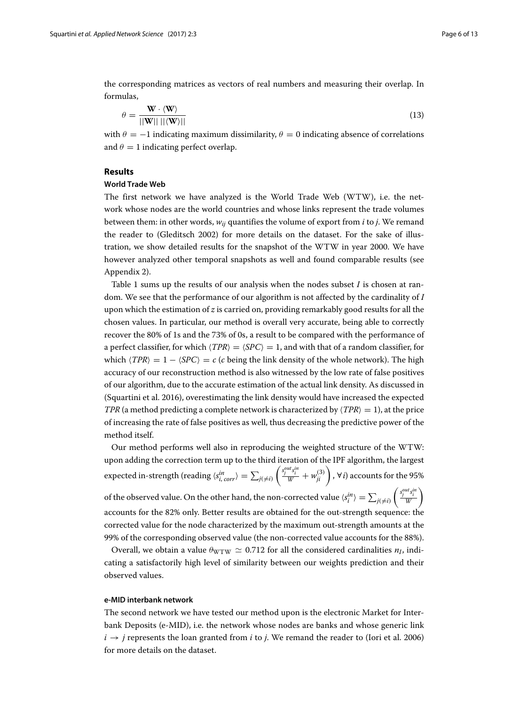the corresponding matrices as vectors of real numbers and measuring their overlap. In formulas,

$$
\theta = \frac{\mathbf{W} \cdot \langle \mathbf{W} \rangle}{||\mathbf{W}|| \, ||\langle \mathbf{W} \rangle||} \tag{13}
$$

with  $\theta = -1$  indicating maximum dissimilarity,  $\theta = 0$  indicating absence of correlations and  $\theta = 1$  indicating perfect overlap.

#### <span id="page-5-0"></span>**Results**

## **World Trade Web**

The first network we have analyzed is the World Trade Web (WTW), i.e. the network whose nodes are the world countries and whose links represent the trade volumes between them: in other words, *wij* quantifies the volume of export from *i* to *j*. We remand the reader to (Gleditsch [2002\)](#page-12-14) for more details on the dataset. For the sake of illustration, we show detailed results for the snapshot of the WTW in year 2000. We have however analyzed other temporal snapshots as well and found comparable results (see [Appendix 2\)](#page-11-0).

Table [1](#page-6-0) sums up the results of our analysis when the nodes subset *I* is chosen at random. We see that the performance of our algorithm is not affected by the cardinality of *I* upon which the estimation of *z* is carried on, providing remarkably good results for all the chosen values. In particular, our method is overall very accurate, being able to correctly recover the 80% of 1s and the 73% of 0s, a result to be compared with the performance of a perfect classifier, for which  $\langle TPR \rangle = \langle SPC \rangle = 1$ , and with that of a random classifier, for which  $\langle TPR \rangle = 1 - \langle SPC \rangle = c$  (*c* being the link density of the whole network). The high accuracy of our reconstruction method is also witnessed by the low rate of false positives of our algorithm, due to the accurate estimation of the actual link density. As discussed in (Squartini et al. [2016\)](#page-12-15), overestimating the link density would have increased the expected *TPR* (a method predicting a complete network is characterized by  $\langle TPR \rangle = 1$ ), at the price of increasing the rate of false positives as well, thus decreasing the predictive power of the method itself.

Our method performs well also in reproducing the weighted structure of the WTW: upon adding the correction term up to the third iteration of the IPF algorithm, the largest expected in-strength (reading  $\langle s_{i,\,corr}^{in} \rangle = \sum_{j(\neq i)}$  $\left(\frac{s_j^{out}s_i^{in}}{W}+w_{ji}^{(3)}\right)$ ,  $\forall i$ ) accounts for the 95% of the observed value. On the other hand, the non-corrected value  $\langle s_i^{in} \rangle = \sum_{j(\neq i)}$  $\left(\frac{s_j^{out} s_i^{in}}{W}\right)$  $\setminus$ 

accounts for the 82% only. Better results are obtained for the out-strength sequence: the corrected value for the node characterized by the maximum out-strength amounts at the 99% of the corresponding observed value (the non-corrected value accounts for the 88%).

Overall, we obtain a value  $\theta_{\text{WTW}} \simeq 0.712$  for all the considered cardinalities  $n_I$ , indicating a satisfactorily high level of similarity between our weights prediction and their observed values.

#### **e-MID interbank network**

The second network we have tested our method upon is the electronic Market for Interbank Deposits (e-MID), i.e. the network whose nodes are banks and whose generic link  $i \rightarrow j$  represents the loan granted from *i* to *j*. We remand the reader to (Iori et al. [2006\)](#page-12-16) for more details on the dataset.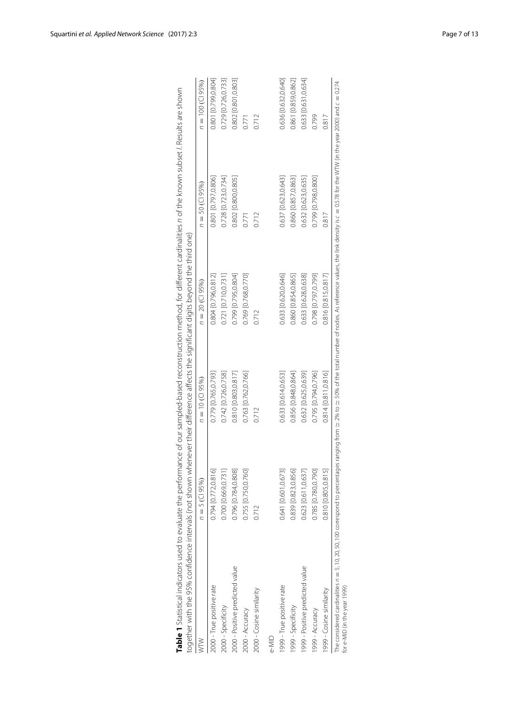| N                               | $n = 5$ (CI 95%)    | $n = 10$ (CI 95%)   | $n = 20$ (CI 95%)   | $n = 50$ (CI 95%)   | $n = 100$ (CI 95%)  |
|---------------------------------|---------------------|---------------------|---------------------|---------------------|---------------------|
| 2000 - True positive rate       | 0.794 [0.772,0.816] | 0.779 [0.765,0.793] | 0.804 [0.796,0.812] | 0.801 [0.797,0.806] | 0.801 [0.799,0.804] |
| 2000 - Specificity              | 0.700 [0.669,0.731] | 0.742 [0.726,0.758] | 0.721 [0.710,0.731] | 0.728 [0.723,0.734] | 0.729 [0.726,0.733] |
| 2000 - Positive predicted value | 0.796 [0.784,0.808] | 0.810 [0.803,0.817] | 0.799 [0.795,0.804] | 0.802 [0.800,0.805] | 0.802 [0.801,0.803] |
| 2000 - Accuracy                 | 0.755 [0.750,0.760] | 0.763 [0.762,0.766] | 0.769 [0.768,0.770] | 0.771               | 0.771               |
| 2000 - Cosine similarity        | 0.712               | 0.712               | 0.712               | 0.712               | 0.712               |
| e-MID                           |                     |                     |                     |                     |                     |
| 999 - True positive rate        | 0.641 [0.601,0.673] | 0.633 [0.614,0.653] | 0.633 [0.620,0.646] | 0.637 [0.623,0.643] | 0.636 [0.632,0.640] |
| 1999 - Specificity              | 0.839 [0.823,0.856] | 0.856 [0.848,0.864] | 0.860 [0.854,0.865] | 0.860 [0.857,0.863] | 0.861 [0.859,0.862] |
| 1999 - Positive predicted value | 0.623 [0.611,0.637] | 0.632 [0.625,0.639] | 0.633 [0.628,0.638] | 0.632 [0.623,0.635] | 0.633 [0.631,0.634] |
| 1999 - Accuracy                 | 0.785 [0.780,0.790] | 0.795 [0.794,0.796] | 0.798 [0.797,0.799] | 0.799 [0.798,0.800] | 0.799               |
| 999 - Cosine similarity         | 0.810 0.805,0.815   | 0.814 [0.811,0.816] | 0.816 [0.815,0.817] | 0.817               | 0.817               |

<span id="page-6-0"></span>

| I<br>֓֕֡֡֡֡֡֡<br>i<br>י<br>j<br>l            |                                                                                       |
|----------------------------------------------|---------------------------------------------------------------------------------------|
| i<br>j<br>1<br>l                             |                                                                                       |
| )<br>2<br>2<br>i<br>l<br>l<br>֚֬֕            |                                                                                       |
|                                              |                                                                                       |
| $-1.1$<br>l                                  |                                                                                       |
| .<br>גרי ה<br>j<br>l                         |                                                                                       |
| $\frac{1}{2}$<br>Ï                           | j<br>Ì<br>1<br>ļ<br>١                                                                 |
| l<br>ׇ֚֚֬֝֬֝֬֝֬֝֬<br>ś<br>$\frac{1}{2}$<br>j |                                                                                       |
| -----<br>l<br>J<br>j<br>l                    | j<br>)                                                                                |
| l<br>$\frac{1}{2}$                           | $\frac{1}{2}$<br>j                                                                    |
| $\frac{1}{2}$<br>i<br>j<br>l                 | i<br>٫<br>$5 + 4$<br>j                                                                |
| ¢<br>j<br>I<br>5                             | 5)<br>l<br>ļ<br>j<br>j                                                                |
| 5.15.25.25.25.25                             | .<br>.<br>.<br>$\frac{1}{2}$<br>l<br>l<br>;                                           |
| d<br>l<br>Ì<br>¢<br>۱<br>i<br>ׇ֚֘            | $+ -$<br>)<br>)<br>)<br>)<br>$\frac{1}{3}$                                            |
| ì<br>l<br>j<br>ī<br>d                        | j<br>I<br>ļ<br>:<br>j<br>j<br>l                                                       |
| ş<br>i<br>j                                  | .<br>بک<br>بان<br>֪ׅ֪ׅׅ֧ׅ֪ׅ֧֚֚֚֚֚֚֚֚֚֚֚֚֚֚֚֚֚֚֚֚֡֡֡֡֡֡֡֓֡֡֝֬֜֓֡֞֝<br>Ì<br>I<br>۱<br>I |
|                                              | l<br>$\overline{\phantom{a}}$<br>$\overline{\phantom{a}}$<br>ļ<br>İ                   |
| j<br>i<br>ī<br>j<br>C MAGAZI                 | j<br>ì                                                                                |
| hari<br>l<br>j<br>)<br>d<br>J                | $\ddot{\phantom{a}}$<br>¢<br>j<br>¢<br>į<br>١                                         |
| j<br>֬֕֕<br>J<br>j<br>1                      | i<br>!                                                                                |
|                                              | :                                                                                     |
| )<br>)<br>)<br>1                             | s<br>CC .<br>j                                                                        |
| ĭ<br>$-1$                                    | Ì<br>ĺ                                                                                |
| j<br>$\frac{1}{2}$                           | í<br>İ                                                                                |
| ble 1 Statisti                               |                                                                                       |
|                                              | ;<br>;<br>j<br>$\frac{1}{2}$<br>j<br>J<br>֡֡֡֡֡֡֡                                     |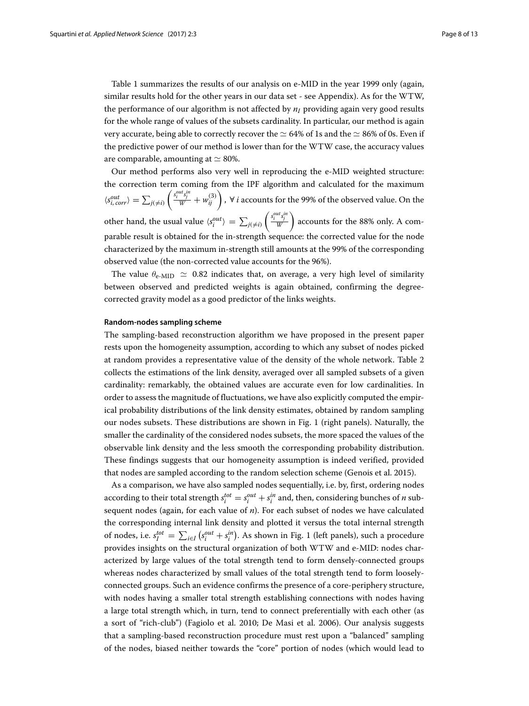Table [1](#page-6-0) summarizes the results of our analysis on e-MID in the year 1999 only (again, similar results hold for the other years in our data set - see [Appendix\)](#page-10-1). As for the WTW, the performance of our algorithm is not affected by  $n_I$  providing again very good results for the whole range of values of the subsets cardinality. In particular, our method is again very accurate, being able to correctly recover the  $\simeq$  64% of 1s and the  $\simeq$  86% of 0s. Even if the predictive power of our method is lower than for the WTW case, the accuracy values are comparable, amounting at  $\simeq$  80%.

Our method performs also very well in reproducing the e-MID weighted structure: the correction term coming from the IPF algorithm and calculated for the maximum  $\langle s_{i,\,corr}^{out} \rangle = \sum_{j(\neq i)}$  $\left(\frac{s_i^{out}s_j^{in}}{W}+w_{ij}^{(3)}\right)$ ,  $\forall$  *i* accounts for the 99% of the observed value. On the other hand, the usual value  $\langle s_i^{out} \rangle = \sum_{j(\neq i)}$  $\left(\frac{s_i^{out} s_j^{in}}{W}\right)$  accounts for the 88% only. A comparable result is obtained for the in-strength sequence: the corrected value for the node characterized by the maximum in-strength still amounts at the 99% of the corresponding observed value (the non-corrected value accounts for the 96%).

The value  $\theta_{\text{e-MID}} \simeq 0.82$  indicates that, on average, a very high level of similarity between observed and predicted weights is again obtained, confirming the degreecorrected gravity model as a good predictor of the links weights.

#### **Random-nodes sampling scheme**

The sampling-based reconstruction algorithm we have proposed in the present paper rests upon the homogeneity assumption, according to which any subset of nodes picked at random provides a representative value of the density of the whole network. Table [2](#page-8-0) collects the estimations of the link density, averaged over all sampled subsets of a given cardinality: remarkably, the obtained values are accurate even for low cardinalities. In order to assess the magnitude of fluctuations, we have also explicitly computed the empirical probability distributions of the link density estimates, obtained by random sampling our nodes subsets. These distributions are shown in Fig. [1](#page-9-1) (right panels). Naturally, the smaller the cardinality of the considered nodes subsets, the more spaced the values of the observable link density and the less smooth the corresponding probability distribution. These findings suggests that our homogeneity assumption is indeed verified, provided that nodes are sampled according to the random selection scheme (Genois et al. [2015\)](#page-12-17).

As a comparison, we have also sampled nodes sequentially, i.e. by, first, ordering nodes according to their total strength  $s_i^{tot} = s_i^{out} + s_i^{in}$  and, then, considering bunches of *n* subsequent nodes (again, for each value of *n*). For each subset of nodes we have calculated the corresponding internal link density and plotted it versus the total internal strength of nodes, i.e.  $s_I^{tot} = \sum_{i \in I} (s_i^{out} + s_i^{in})$ . As shown in Fig. [1](#page-9-1) (left panels), such a procedure provides insights on the structural organization of both WTW and e-MID: nodes characterized by large values of the total strength tend to form densely-connected groups whereas nodes characterized by small values of the total strength tend to form looselyconnected groups. Such an evidence confirms the presence of a core-periphery structure, with nodes having a smaller total strength establishing connections with nodes having a large total strength which, in turn, tend to connect preferentially with each other (as a sort of "rich-club") (Fagiolo et al. [2010;](#page-12-18) De Masi et al. [2006\)](#page-12-19). Our analysis suggests that a sampling-based reconstruction procedure must rest upon a "balanced" sampling of the nodes, biased neither towards the "core" portion of nodes (which would lead to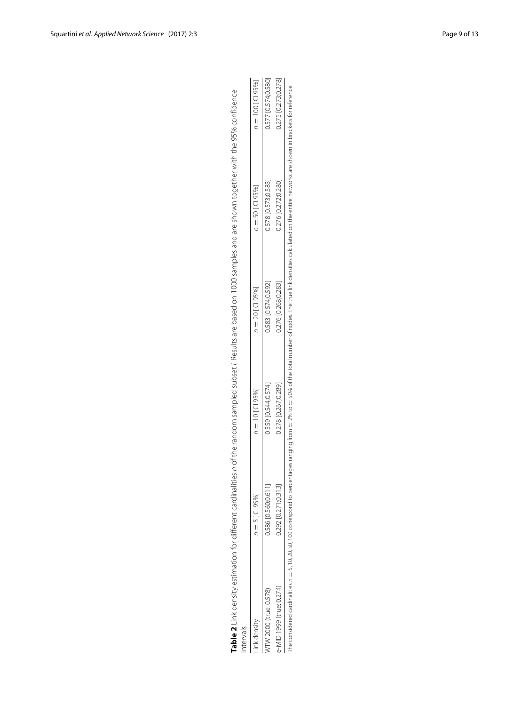| Table 2 Link density estimation for different cardinalities<br>ntervals |                     |                     |                     | n of the random sampled subset /. Results are based on 1000 samples and are shown together with the 95% confidence                                                                                                                 |                     |
|-------------------------------------------------------------------------|---------------------|---------------------|---------------------|------------------------------------------------------------------------------------------------------------------------------------------------------------------------------------------------------------------------------------|---------------------|
| ink density                                                             | $n = 5$ [CI 95%]    | $n = 10$ [Cl 95%]   | $n = 20$ [CI 95%]   | $n = 50$ [CI 95%]                                                                                                                                                                                                                  | $n = 100$ [Cl 95%]  |
| /TW 2000 (true: 0.578)                                                  | 1,586 [0.560;0.611] | 0.559 [0.544;0.574] | 0.583 [0.574;0.592] | 0.578 [0.573;0.583]                                                                                                                                                                                                                | 0.577 [0.574;0.580] |
| -MID 1999 (true: 0.274)                                                 | 0.292 [0.271;0.313] | 0.278 [0.267;0.289] | 0.276 [0.268;0.283] | 0.276 [0.272;0.280]                                                                                                                                                                                                                | 0.275 [0.273;0.278] |
|                                                                         |                     |                     |                     | The considered cardinalities $n=5,10,20,20,100$ correspond to percentages ranging from $\simeq 2\%$ to $\simeq 50\%$ of the total number of nodes. The true link densities calculated on the entire networks are shown in brackets |                     |

| החדר החדר הי<br>こうこう こうこう りっけ | ה הקב וה הדינה החמ<br>)<br>}<br>}<br>0.270002727 | ה ההי נמ היה ה ההה<br>Icozyonzyn nyzy             | 0.278 [0.267;0.289] | ١<br>ו<br>י<br>$\frac{1}{2}$<br>i |  |
|-------------------------------|--------------------------------------------------|---------------------------------------------------|---------------------|-----------------------------------|--|
| 0.577 [0.574:0.580]<br>・ビジン   | LC 03 UTC 43 UJ 04 3 U<br>ゔゔ                     | N 583 IN 574 N 5071<br>ニューラ<br>. יין י ייטו כטכיי | ここり ごよんこう           |                                   |  |

<span id="page-8-0"></span>e-MID 1999 (true: 0.274) 0.292 [0.271;0.313] 0.278 [0.267;0.289] 0.276 [0.268;0.283] 0.276 [0.272;0.280] 0.275 [0.273;0.278<br>The considered cardinalities  $n = 5$ , 10, 20, 50, 100 correspond to percentages ranging from ≃ 2%  $\simeq$  50% of the total number of nodes. The true link densities calculated on the entire networks are shown in brackets for reference  $\simeq$  2% to  $\simeq$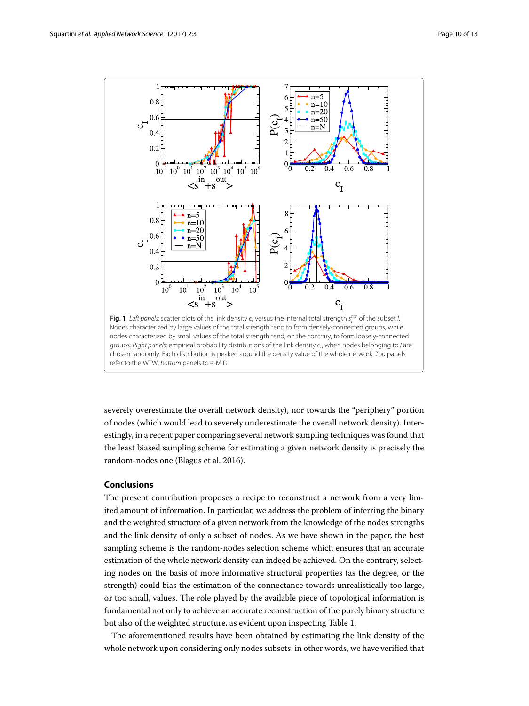

<span id="page-9-1"></span>severely overestimate the overall network density), nor towards the "periphery" portion of nodes (which would lead to severely underestimate the overall network density). Interestingly, in a recent paper comparing several network sampling techniques was found that the least biased sampling scheme for estimating a given network density is precisely the random-nodes one (Blagus et al. [2016\)](#page-12-20).

## <span id="page-9-0"></span>**Conclusions**

The present contribution proposes a recipe to reconstruct a network from a very limited amount of information. In particular, we address the problem of inferring the binary and the weighted structure of a given network from the knowledge of the nodes strengths and the link density of only a subset of nodes. As we have shown in the paper, the best sampling scheme is the random-nodes selection scheme which ensures that an accurate estimation of the whole network density can indeed be achieved. On the contrary, selecting nodes on the basis of more informative structural properties (as the degree, or the strength) could bias the estimation of the connectance towards unrealistically too large, or too small, values. The role played by the available piece of topological information is fundamental not only to achieve an accurate reconstruction of the purely binary structure but also of the weighted structure, as evident upon inspecting Table [1.](#page-6-0)

The aforementioned results have been obtained by estimating the link density of the whole network upon considering only nodes subsets: in other words, we have verified that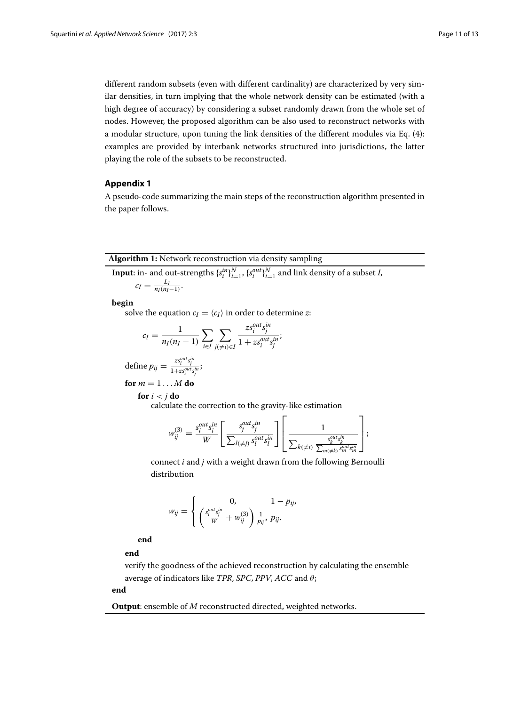different random subsets (even with different cardinality) are characterized by very similar densities, in turn implying that the whole network density can be estimated (with a high degree of accuracy) by considering a subset randomly drawn from the whole set of nodes. However, the proposed algorithm can be also used to reconstruct networks with a modular structure, upon tuning the link densities of the different modules via Eq. [\(4\)](#page-2-2): examples are provided by interbank networks structured into jurisdictions, the latter playing the role of the subsets to be reconstructed.

## <span id="page-10-0"></span>**Appendix 1**

<span id="page-10-1"></span>A pseudo-code summarizing the main steps of the reconstruction algorithm presented in the paper follows.

#### **Algorithm 1:** Network reconstruction via density sampling

**Input**: in- and out-strengths  $\{s_i^{in}\}_{i=1}^N$ ,  $\{s_i^{out}\}_{i=1}^N$  and link density of a subset *I*,

$$
c_I = \frac{L_I}{n_I(n_I-1)}.
$$

**begin**

solve the equation  $c_I = \langle c_I \rangle$  in order to determine *z*:

$$
c_I = \frac{1}{n_I(n_I - 1)} \sum_{i \in I} \sum_{j(\neq i) \in I} \frac{zs_i^{out} s_j^{in}}{1 + z s_i^{out} s_j^{in}}
$$

define 
$$
p_{ij} = \frac{zs_i^{out}s_j^{in}}{1+zs_i^{out}s_j^{in}}
$$
;

$$
for m = 1...M do
$$

**for** *i* < *j* **do**

calculate the correction to the gravity-like estimation

$$
w_{ij}^{(3)} = \frac{s_i^{out} s_i^{in}}{W} \left[ \frac{s_j^{out} s_j^{in}}{\sum_{l(\neq j)} s_l^{out} s_l^{in}} \right] \left[ \frac{1}{\sum_{k(\neq i)} \frac{s_k^{out} s_k^{in}}{\sum_{m(\neq k)} s_m^{out} s_m^{in}}} \right];
$$

connect *i* and *j* with a weight drawn from the following Bernoulli distribution

$$
w_{ij} = \left\{ \begin{array}{cc} 0, & 1-p_{ij}, \\ \left(\frac{s_i^{out}s_j^{in}}{W} + w_{ij}^{(3)}\right) \frac{1}{p_{ij}}, \ p_{ij}. \end{array} \right.
$$

**end**

**end**

verify the goodness of the achieved reconstruction by calculating the ensemble average of indicators like *TPR*, *SPC*, *PPV*, *ACC* and  $\theta$ ;

#### **end**

**Output**: ensemble of *M* reconstructed directed, weighted networks.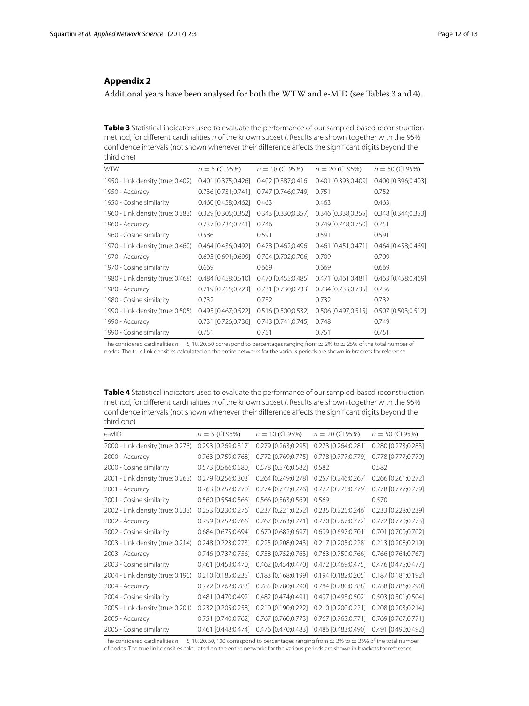## <span id="page-11-0"></span>**Appendix 2**

Additional years have been analysed for both the WTW and e-MID (see Tables 3 and 4).

**Table 3** Statistical indicators used to evaluate the performance of our sampled-based reconstruction method, for different cardinalities n of the known subset I. Results are shown together with the 95% confidence intervals (not shown whenever their difference affects the significant digits beyond the third one)

| <b>WTW</b>                        | $n = 5$ (CI 95%)    | $n = 10$ (Cl 95%)   | $n = 20$ (CI 95%)   | $n = 50$ (CI 95%)   |
|-----------------------------------|---------------------|---------------------|---------------------|---------------------|
| 1950 - Link density (true: 0.402) | 0.401 [0.375;0.426] | 0.402 [0.387;0.416] | 0.401 [0.393;0.409] | 0.400 [0.396;0.403] |
| 1950 - Accuracy                   | 0.736 [0.731;0.741] | 0.747 [0.746;0.749] | 0.751               | 0.752               |
| 1950 - Cosine similarity          | 0.460 [0.458;0.462] | 0.463               | 0.463               | 0.463               |
| 1960 - Link density (true: 0.383) | 0.329 [0.305;0.352] | 0.343 [0.330;0.357] | 0.346 [0.338;0.355] | 0.348 [0.344;0.353] |
| 1960 - Accuracy                   | 0.737 [0.734;0.741] | 0.746               | 0.749 [0.748;0.750] | 0.751               |
| 1960 - Cosine similarity          | 0.586               | 0.591               | 0.591               | 0.591               |
| 1970 - Link density (true: 0.460) | 0.464 [0.436;0.492] | 0.478 [0.462;0.496] | 0.461 [0.451;0.471] | 0.464 [0.458;0.469] |
| 1970 - Accuracy                   | 0.695 [0.691;0.699] | 0.704 [0.702;0.706] | 0.709               | 0.709               |
| 1970 - Cosine similarity          | 0.669               | 0.669               | 0.669               | 0.669               |
| 1980 - Link density (true: 0.468) | 0.484 [0.458;0.510] | 0.470 [0.455;0.485] | 0.471 [0.461;0.481] | 0.463 [0.458;0.469] |
| 1980 - Accuracy                   | 0.719 [0.715;0.723] | 0.731 [0.730;0.733] | 0.734 [0.733;0.735] | 0.736               |
| 1980 - Cosine similarity          | 0.732               | 0.732               | 0.732               | 0.732               |
| 1990 - Link density (true: 0.505) | 0.495 [0.467;0.522] | 0.516 [0.500;0.532] | 0.506 [0.497;0.515] | 0.507 [0.503;0.512] |
| 1990 - Accuracy                   | 0.731 [0.726;0.736] | 0.743 [0.741;0.745] | 0.748               | 0.749               |
| 1990 - Cosine similarity          | 0.751               | 0.751               | 0.751               | 0.751               |

The considered cardinalities  $n = 5$ , 10, 20, 50 correspond to percentages ranging from  $\simeq$  2% to  $\simeq$  25% of the total number of nodes. The true link densities calculated on the entire networks for the various periods are shown in brackets for reference

**Table 4** Statistical indicators used to evaluate the performance of our sampled-based reconstruction method, for different cardinalities n of the known subset I. Results are shown together with the 95% confidence intervals (not shown whenever their difference affects the significant digits beyond the third one)

| e-MID                             | $n = 5$ (CI 95%)      | $n = 10$ (Cl 95%)     | $n = 20$ (CI 95%)                                           | $n = 50$ (CI 95%)     |
|-----------------------------------|-----------------------|-----------------------|-------------------------------------------------------------|-----------------------|
| 2000 - Link density (true: 0.278) | 0.293 [0.269;0.317]   | 0.279 [0.263;0.295]   | 0.273 [0.264;0.281]                                         | 0.280 [0.273;0.283]   |
| 2000 - Accuracy                   | 0.763 [0.759;0.768]   | 0.772 [0.769;0.775]   | 0.778 [0.777;0.779]                                         | 0.778 [0.777;0.779]   |
| 2000 - Cosine similarity          | 0.573 [0.566;0.580]   | 0.578 [0.576;0.582]   | 0.582                                                       | 0.582                 |
| 2001 - Link density (true: 0.263) | 0.279 [0.256;0.303]   | 0.264 [0.249;0.278]   | 0.257 [0.246;0.267]                                         | 0.266 [0.261;0.272]   |
| 2001 - Accuracy                   | 0.763 [0.757;0.770]   | 0.774 [0.772;0.776]   | 0.777 [0.775;0.779]                                         | 0.778 [0.777;0.779]   |
| 2001 - Cosine similarity          | 0.560 [0.554;0.566]   | 0.566 [0.563;0.569]   | 0.569                                                       | 0.570                 |
| 2002 - Link density (true: 0.233) | $0.253$ [0.230;0.276] | $0.237$ [0.221;0.252] | 0.235 [0.225;0.246]                                         | 0.233 [0.228;0.239]   |
| 2002 - Accuracy                   | $0.759$ [0.752;0.766] | 0.767 [0.763;0.771]   | 0.770 [0.767;0.772]                                         | 0.772 [0.770;0.773]   |
| 2002 - Cosine similarity          | 0.684 [0.675;0.694]   | 0.670 [0.682;0.697]   | 0.699 [0.697;0.701]                                         | 0.701 [0.700;0.702]   |
| 2003 - Link density (true: 0.214) | 0.248 [0.223;0.273]   | 0.225 [0.208;0.243]   | 0.217 [0.205;0.228]                                         | 0.213 [0.208;0.219]   |
| 2003 - Accuracy                   | 0.746 [0.737;0.756]   | 0.758 [0.752;0.763]   | 0.763 [0.759;0.766]                                         | 0.766 [0.764;0.767]   |
| 2003 - Cosine similarity          | 0.461 [0.453;0.470]   | 0.462 [0.454;0.470]   | 0.472 [0.469;0.475]                                         | 0.476 [0.475;0.477]   |
| 2004 - Link density (true: 0.190) | $0.210$ [0.185;0.235] | $0.183$ [0.168;0.199] | 0.194 [0.182;0.205]                                         | 0.187 [0.181;0.192]   |
| 2004 - Accuracy                   | 0.772 [0.762;0.783]   | 0.785 [0.780;0.790]   | 0.784 [0.780;0.788]                                         | 0.788 [0.786;0.790]   |
| 2004 - Cosine similarity          | 0.481 [0.470;0.492]   | 0.482 [0.474;0.491]   | 0.497 [0.493;0.502]                                         | 0.503 [0.501;0.504]   |
| 2005 - Link density (true: 0.201) | 0.232 [0.205;0.258]   | 0.210 [0.190;0.222]   | 0.210 [0.200;0.221]                                         | 0.208 [0.203;0.214]   |
| 2005 - Accuracy                   | $0.751$ [0.740;0.762] | 0.767 [0.760;0.773]   | 0.767 [0.763;0.771]                                         | $0.769$ [0.767;0.771] |
| 2005 - Cosine similarity          | 0.461 [0.448;0.474]   |                       | 0.476 [0.470;0.483] 0.486 [0.483;0.490] 0.491 [0.490;0.492] |                       |

The considered cardinalities  $n = 5, 10, 20, 50, 100$  correspond to percentages ranging from  $\simeq 2\%$  to  $\simeq 25\%$  of the total number of nodes. The true link densities calculated on the entire networks for the various periods are shown in brackets for reference